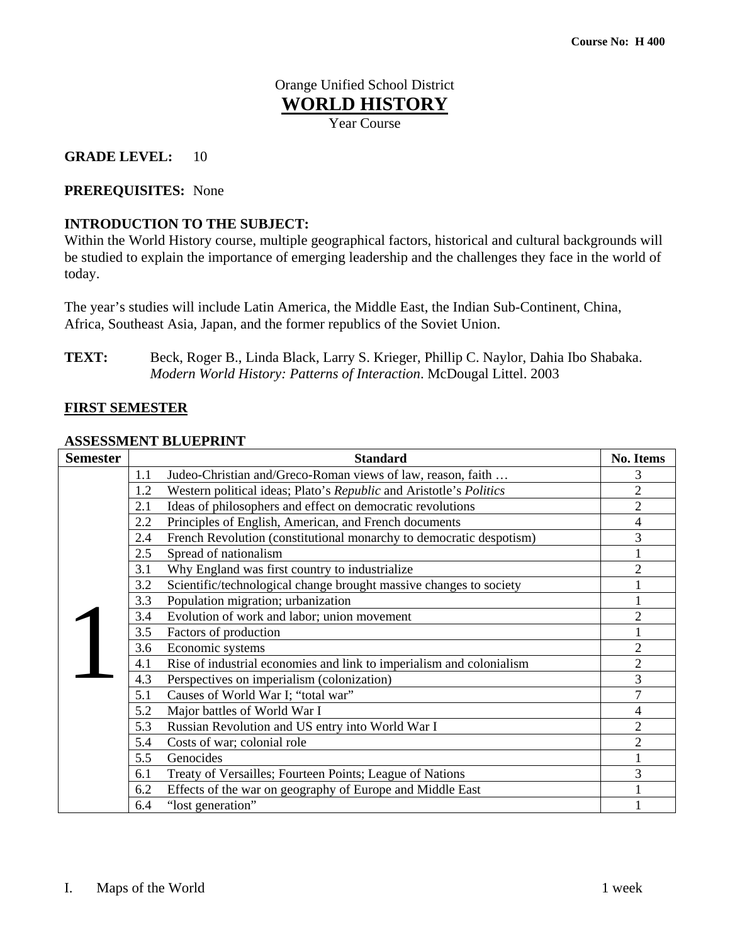# Orange Unified School District **WORLD HISTORY**

Year Course

# **GRADE LEVEL:** 10

# **PREREQUISITES:** None

# **INTRODUCTION TO THE SUBJECT:**

Within the World History course, multiple geographical factors, historical and cultural backgrounds will be studied to explain the importance of emerging leadership and the challenges they face in the world of today.

The year's studies will include Latin America, the Middle East, the Indian Sub-Continent, China, Africa, Southeast Asia, Japan, and the former republics of the Soviet Union.

**TEXT:** Beck, Roger B., Linda Black, Larry S. Krieger, Phillip C. Naylor, Dahia Ibo Shabaka. *Modern World History: Patterns of Interaction*. McDougal Littel. 2003

# **FIRST SEMESTER**

#### **ASSESSMENT BLUEPRINT**

| <b>Semester</b> | <b>Standard</b>                                                             | <b>No. Items</b> |
|-----------------|-----------------------------------------------------------------------------|------------------|
|                 | Judeo-Christian and/Greco-Roman views of law, reason, faith<br>1.1          | 3                |
|                 | Western political ideas; Plato's Republic and Aristotle's Politics<br>1.2   | $\overline{2}$   |
|                 | Ideas of philosophers and effect on democratic revolutions<br>2.1           | $\overline{2}$   |
|                 | 2.2<br>Principles of English, American, and French documents                | $\overline{4}$   |
|                 | French Revolution (constitutional monarchy to democratic despotism)<br>2.4  | 3                |
|                 | Spread of nationalism<br>2.5                                                |                  |
|                 | Why England was first country to industrialize<br>3.1                       | $\overline{2}$   |
|                 | Scientific/technological change brought massive changes to society<br>3.2   |                  |
|                 | Population migration; urbanization<br>3.3                                   |                  |
|                 | Evolution of work and labor; union movement<br>3.4                          | 2                |
|                 | Factors of production<br>3.5                                                |                  |
|                 | 3.6<br>Economic systems                                                     | $\mathfrak{2}$   |
|                 | Rise of industrial economies and link to imperialism and colonialism<br>4.1 | $\overline{2}$   |
|                 | 4.3<br>Perspectives on imperialism (colonization)                           | 3                |
|                 | Causes of World War I; "total war"<br>5.1                                   | 7                |
|                 | Major battles of World War I<br>5.2                                         | 4                |
|                 | 5.3<br>Russian Revolution and US entry into World War I                     | $\mathfrak{2}$   |
|                 | 5.4<br>Costs of war; colonial role                                          | $\overline{2}$   |
|                 | Genocides<br>5.5                                                            |                  |
|                 | Treaty of Versailles; Fourteen Points; League of Nations<br>6.1             | 3                |
|                 | Effects of the war on geography of Europe and Middle East<br>6.2            |                  |
|                 | "lost generation"<br>6.4                                                    |                  |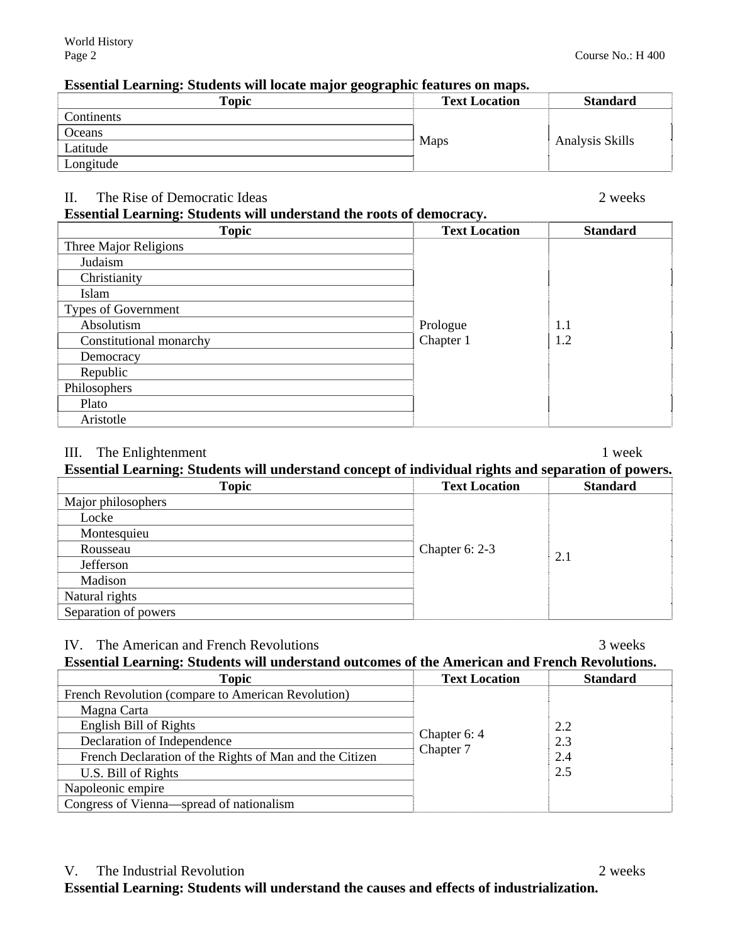### **Essential Learning: Students will locate major geographic features on maps.**

| $\sim$ $\sim$ $\sim$ $\sim$<br><b>Topic</b> | <b>Text Location</b> | <b>Standard</b> |
|---------------------------------------------|----------------------|-----------------|
| Continents                                  |                      |                 |
| Oceans                                      |                      |                 |
| Latitude                                    | Maps                 | Analysis Skills |
| Longitude                                   |                      |                 |

# II. The Rise of Democratic Ideas 2 weeks

# **Essential Learning: Students will understand the roots of democracy.**

| <b>Topic</b>            | <b>Text Location</b> | <b>Standard</b> |
|-------------------------|----------------------|-----------------|
| Three Major Religions   |                      |                 |
| Judaism                 |                      |                 |
| Christianity            |                      |                 |
| Islam                   |                      |                 |
| Types of Government     |                      |                 |
| Absolutism              | Prologue             | 1.1             |
| Constitutional monarchy | Chapter 1            | 1.2             |
| Democracy               |                      |                 |
| Republic                |                      |                 |
| Philosophers            |                      |                 |
| Plato                   |                      |                 |
| Aristotle               |                      |                 |

# III. The Enlightenment 1 week

# **Essential Learning: Students will understand concept of individual rights and separation of powers.**

| <b>Topic</b>         | -----<br><b>Text Location</b> | <b>Standard</b> |
|----------------------|-------------------------------|-----------------|
| Major philosophers   |                               |                 |
| Locke                |                               |                 |
| Montesquieu          |                               |                 |
| Rousseau             | Chapter 6: 2-3                |                 |
| Jefferson            |                               | 2.1             |
| Madison              |                               |                 |
| Natural rights       |                               |                 |
| Separation of powers |                               |                 |

### IV. The American and French Revolutions 3 weeks

# **Essential Learning: Students will understand outcomes of the American and French Revolutions.**

| <b>Topic</b>                                            | <b>Text Location</b>      | <b>Standard</b> |
|---------------------------------------------------------|---------------------------|-----------------|
| French Revolution (compare to American Revolution)      |                           |                 |
| Magna Carta                                             |                           |                 |
| English Bill of Rights                                  |                           | 2.2             |
| Declaration of Independence                             | Chapter 6: 4<br>Chapter 7 | 2.3             |
| French Declaration of the Rights of Man and the Citizen |                           | 2.4             |
| U.S. Bill of Rights                                     |                           | 2.5             |
| Napoleonic empire                                       |                           |                 |
| Congress of Vienna—spread of nationalism                |                           |                 |

**Essential Learning: Students will understand the causes and effects of industrialization.**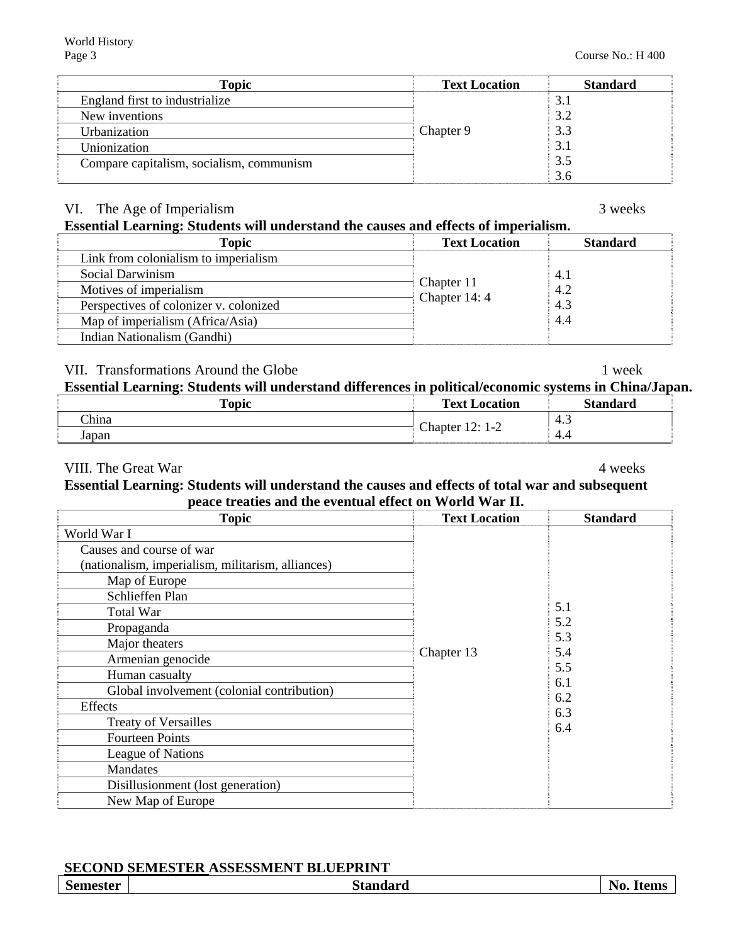| <b>Topic</b>                             | <b>Text Location</b> | <b>Standard</b> |
|------------------------------------------|----------------------|-----------------|
| England first to industrialize           |                      | 3.1             |
| New inventions                           |                      | 3.2             |
| Urbanization                             | Chapter 9            | 3.3             |
| Unionization                             |                      | 3.1             |
| Compare capitalism, socialism, communism |                      | 3.5             |
|                                          |                      | 3.6             |

# VI. The Age of Imperialism 3 weeks

# **Essential Learning: Students will understand the causes and effects of imperialism.**

| <b>Topic</b>                           | <b>Text Location</b>        | <b>Standard</b> |
|----------------------------------------|-----------------------------|-----------------|
| Link from colonialism to imperialism   |                             |                 |
| Social Darwinism                       |                             | 4.1             |
| Motives of imperialism                 | Chapter 11<br>Chapter 14: 4 | 4.2             |
| Perspectives of colonizer v. colonized |                             | 4.3             |
| Map of imperialism (Africa/Asia)       |                             | 4.4             |
| Indian Nationalism (Gandhi)            |                             |                 |

# VII. Transformations Around the Globe 1 week

# **Essential Learning: Students will understand differences in political/economic systems in China/Japan.**

| <b>Topic</b> | <b>Text Location</b> | <b>Standard</b> |
|--------------|----------------------|-----------------|
| China        | Chapter.             | د.4 `           |
| Japan        | $12:1-2$             | -4.4            |

### VIII. The Great War 4 weeks 2008 and 2008 and 2008 and 2008 and 2008 and 2008 and 2008 and 2008 and 2008 and 2008 and 2008 and 2008 and 2008 and 2008 and 2008 and 2008 and 2008 and 2008 and 2008 and 2008 and 2008 and 2008

#### **Essential Learning: Students will understand the causes and effects of total war and subsequent peace treaties and the eventual effect on World War II.**

| <b>Topic</b>                                      | <b>Text Location</b> | <b>Standard</b> |
|---------------------------------------------------|----------------------|-----------------|
| World War I                                       |                      |                 |
| Causes and course of war                          |                      |                 |
| (nationalism, imperialism, militarism, alliances) |                      |                 |
| Map of Europe                                     |                      |                 |
| Schlieffen Plan                                   |                      |                 |
| <b>Total War</b>                                  |                      | 5.1             |
| Propaganda                                        |                      | 5.2             |
| Major theaters                                    |                      | 5.3<br>5.4      |
| Armenian genocide                                 | Chapter 13           | 5.5             |
| Human casualty                                    |                      | 6.1             |
| Global involvement (colonial contribution)        |                      | 6.2             |
| Effects                                           |                      | 6.3             |
| <b>Treaty of Versailles</b>                       |                      | 6.4             |
| <b>Fourteen Points</b>                            |                      |                 |
| League of Nations                                 |                      |                 |
| <b>Mandates</b>                                   |                      |                 |
| Disillusionment (lost generation)                 |                      |                 |
| New Map of Europe                                 |                      |                 |

# **SECOND SEMESTER ASSESSMENT BLUEPRINT**

| <b>Semester</b> | <b>Standard</b> | No.<br><b>Items</b> |
|-----------------|-----------------|---------------------|
|                 |                 |                     |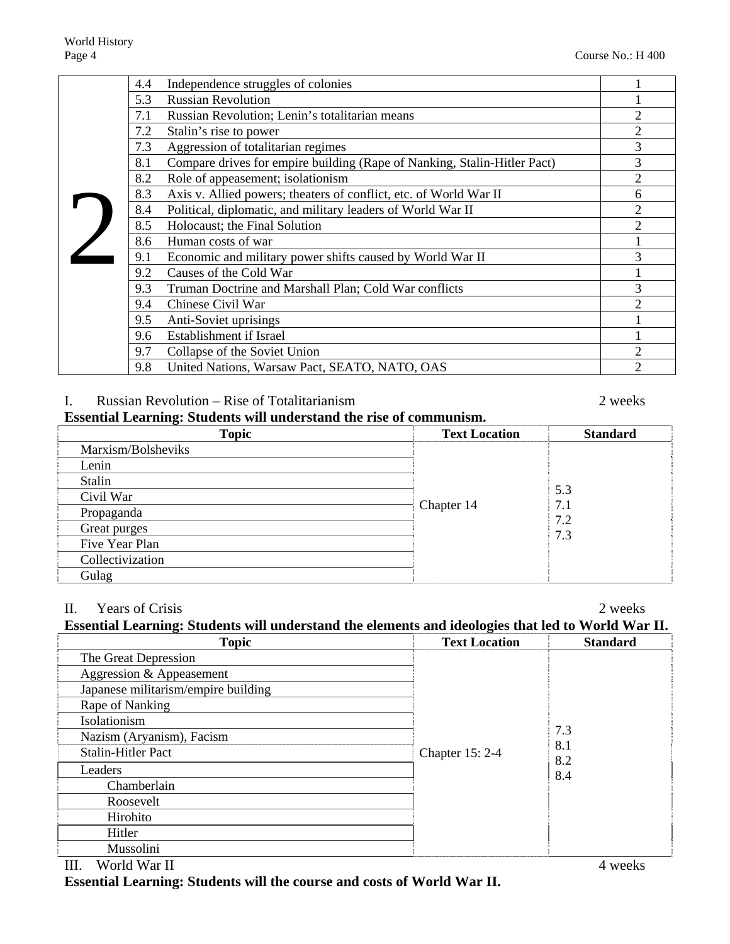|  | Independence struggles of colonies<br>4.4                                       |                |
|--|---------------------------------------------------------------------------------|----------------|
|  | 5.3<br><b>Russian Revolution</b>                                                |                |
|  | 7.1<br>Russian Revolution; Lenin's totalitarian means                           | $\overline{2}$ |
|  | Stalin's rise to power<br>7.2                                                   | $\overline{2}$ |
|  | Aggression of totalitarian regimes<br>7.3                                       | 3              |
|  | Compare drives for empire building (Rape of Nanking, Stalin-Hitler Pact)<br>8.1 | 3              |
|  | Role of appeasement; isolationism<br>8.2                                        | $\mathfrak{2}$ |
|  | Axis v. Allied powers; theaters of conflict, etc. of World War II<br>8.3        | 6              |
|  | Political, diplomatic, and military leaders of World War II<br>8.4              | $\overline{2}$ |
|  | 8.5<br>Holocaust; the Final Solution                                            | $\overline{2}$ |
|  | 8.6<br>Human costs of war                                                       |                |
|  | 9.1<br>Economic and military power shifts caused by World War II                | 3              |
|  | 9.2<br>Causes of the Cold War                                                   |                |
|  | 9.3<br>Truman Doctrine and Marshall Plan; Cold War conflicts                    | 3              |
|  | Chinese Civil War<br>9.4                                                        | $\overline{2}$ |
|  | 9.5<br>Anti-Soviet uprisings                                                    |                |
|  | Establishment if Israel<br>9.6                                                  |                |
|  | 9.7<br>Collapse of the Soviet Union                                             | $\overline{2}$ |
|  | United Nations, Warsaw Pact, SEATO, NATO, OAS<br>9.8                            | $\mathfrak{D}$ |

#### I. Russian Revolution – Rise of Totalitarianism 2 weeks

**Essential Learning: Students will understand the rise of communism.** 

| 0<br><b>Topic</b>  | <b>Text Location</b> | <b>Standard</b> |
|--------------------|----------------------|-----------------|
| Marxism/Bolsheviks |                      |                 |
| Lenin              |                      |                 |
| Stalin             |                      |                 |
| Civil War          |                      | 5.3             |
| Propaganda         | Chapter 14           | 7.1<br>7.2      |
| Great purges       |                      | 7.3             |
| Five Year Plan     |                      |                 |
| Collectivization   |                      |                 |
| Gulag              |                      |                 |

### II. Years of Crisis 2 weeks **Essential Learning: Students will understand the elements and ideologies that led to World War II.**

| <b>Topic</b>                        | <b>Text Location</b> | <b>Standard</b> |
|-------------------------------------|----------------------|-----------------|
| The Great Depression                |                      |                 |
| Aggression & Appeasement            |                      |                 |
| Japanese militarism/empire building |                      |                 |
| Rape of Nanking                     |                      |                 |
| Isolationism                        |                      |                 |
| Nazism (Aryanism), Facism           |                      | 7.3             |
| <b>Stalin-Hitler Pact</b>           | Chapter 15: 2-4      | 8.1<br>8.2      |
| Leaders                             |                      | 8.4             |
| Chamberlain                         |                      |                 |
| Roosevelt                           |                      |                 |
| Hirohito                            |                      |                 |
| Hitler                              |                      |                 |
| Mussolini                           |                      |                 |

**Essential Learning: Students will the course and costs of World War II.**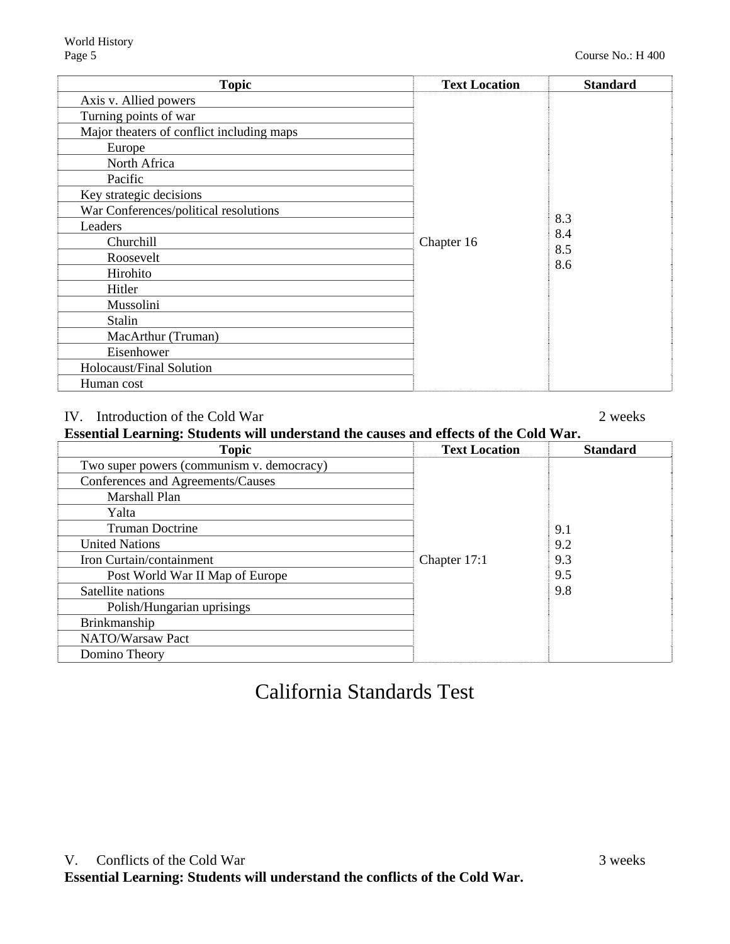| <b>Topic</b>                              | <b>Text Location</b> | <b>Standard</b> |
|-------------------------------------------|----------------------|-----------------|
| Axis v. Allied powers                     |                      |                 |
| Turning points of war                     |                      |                 |
| Major theaters of conflict including maps |                      |                 |
| Europe                                    |                      |                 |
| North Africa                              |                      |                 |
| Pacific                                   |                      |                 |
| Key strategic decisions                   |                      |                 |
| War Conferences/political resolutions     |                      |                 |
| Leaders                                   |                      | 8.3<br>8.4      |
| Churchill                                 | Chapter 16           | 8.5             |
| Roosevelt                                 |                      | 8.6             |
| Hirohito                                  |                      |                 |
| Hitler                                    |                      |                 |
| Mussolini                                 |                      |                 |
| Stalin                                    |                      |                 |
| MacArthur (Truman)                        |                      |                 |
| Eisenhower                                |                      |                 |
| Holocaust/Final Solution                  |                      |                 |
| Human cost                                |                      |                 |

# IV. Introduction of the Cold War 2 weeks

| Essential Learning: Students will understand the causes and effects of the Cold War. |  |  |  |
|--------------------------------------------------------------------------------------|--|--|--|
|                                                                                      |  |  |  |

| <b>Topic</b>                              | <b>Text Location</b> | <b>Standard</b> |
|-------------------------------------------|----------------------|-----------------|
| Two super powers (communism v. democracy) |                      |                 |
| Conferences and Agreements/Causes         |                      |                 |
| Marshall Plan                             |                      |                 |
| Yalta                                     |                      |                 |
| <b>Truman Doctrine</b>                    |                      | 9.1             |
| <b>United Nations</b>                     |                      | 9.2             |
| Iron Curtain/containment                  | Chapter 17:1         | 9.3             |
| Post World War II Map of Europe           |                      | 9.5             |
| Satellite nations                         |                      | 9.8             |
| Polish/Hungarian uprisings                |                      |                 |
| Brinkmanship                              |                      |                 |
| NATO/Warsaw Pact                          |                      |                 |
| Domino Theory                             |                      |                 |

# California Standards Test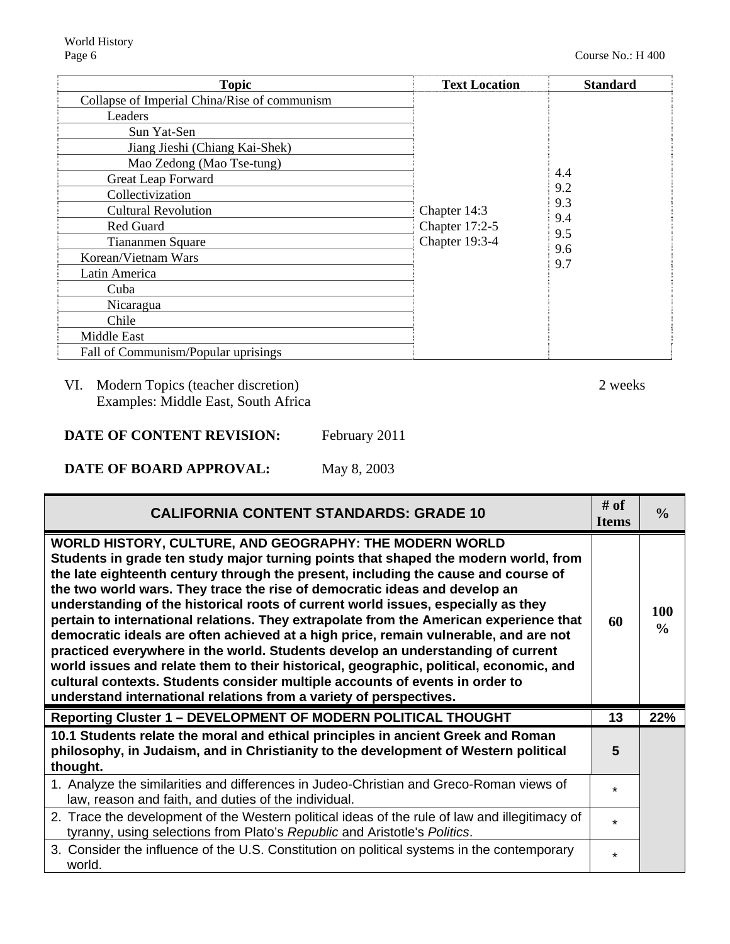| <b>Topic</b>                                 | <b>Text Location</b> | <b>Standard</b> |
|----------------------------------------------|----------------------|-----------------|
| Collapse of Imperial China/Rise of communism |                      |                 |
| Leaders                                      |                      |                 |
| Sun Yat-Sen                                  |                      |                 |
| Jiang Jieshi (Chiang Kai-Shek)               |                      |                 |
| Mao Zedong (Mao Tse-tung)                    |                      |                 |
| Great Leap Forward                           |                      | 4.4             |
| Collectivization                             |                      | 9.2<br>9.3      |
| <b>Cultural Revolution</b>                   | Chapter 14:3         | 9.4             |
| Red Guard                                    | Chapter 17:2-5       | 9.5             |
| <b>Tiananmen Square</b>                      | Chapter 19:3-4       | 9.6             |
| Korean/Vietnam Wars                          |                      | 9.7             |
| Latin America                                |                      |                 |
| Cuba                                         |                      |                 |
| Nicaragua                                    |                      |                 |
| Chile                                        |                      |                 |
| Middle East                                  |                      |                 |
| Fall of Communism/Popular uprisings          |                      |                 |

# VI. Modern Topics (teacher discretion) 2 weeks Examples: Middle East, South Africa

**DATE OF CONTENT REVISION:** February 2011

**DATE OF BOARD APPROVAL:** May 8, 2003

| <b>CALIFORNIA CONTENT STANDARDS: GRADE 10</b>                                                                                                                                                                                                                                                                                                                                                                                                                                                                                                                                                                                                                                                                                                                                                                                                                                                                                | # of<br><b>Items</b> | $\frac{0}{0}$        |
|------------------------------------------------------------------------------------------------------------------------------------------------------------------------------------------------------------------------------------------------------------------------------------------------------------------------------------------------------------------------------------------------------------------------------------------------------------------------------------------------------------------------------------------------------------------------------------------------------------------------------------------------------------------------------------------------------------------------------------------------------------------------------------------------------------------------------------------------------------------------------------------------------------------------------|----------------------|----------------------|
| WORLD HISTORY, CULTURE, AND GEOGRAPHY: THE MODERN WORLD<br>Students in grade ten study major turning points that shaped the modern world, from<br>the late eighteenth century through the present, including the cause and course of<br>the two world wars. They trace the rise of democratic ideas and develop an<br>understanding of the historical roots of current world issues, especially as they<br>pertain to international relations. They extrapolate from the American experience that<br>democratic ideals are often achieved at a high price, remain vulnerable, and are not<br>practiced everywhere in the world. Students develop an understanding of current<br>world issues and relate them to their historical, geographic, political, economic, and<br>cultural contexts. Students consider multiple accounts of events in order to<br>understand international relations from a variety of perspectives. |                      | 100<br>$\frac{0}{0}$ |
| Reporting Cluster 1 - DEVELOPMENT OF MODERN POLITICAL THOUGHT                                                                                                                                                                                                                                                                                                                                                                                                                                                                                                                                                                                                                                                                                                                                                                                                                                                                | 13                   | 22%                  |
| 10.1 Students relate the moral and ethical principles in ancient Greek and Roman<br>philosophy, in Judaism, and in Christianity to the development of Western political<br>thought.                                                                                                                                                                                                                                                                                                                                                                                                                                                                                                                                                                                                                                                                                                                                          | 5                    |                      |
| 1. Analyze the similarities and differences in Judeo-Christian and Greco-Roman views of<br>law, reason and faith, and duties of the individual.                                                                                                                                                                                                                                                                                                                                                                                                                                                                                                                                                                                                                                                                                                                                                                              | $\star$              |                      |
| 2. Trace the development of the Western political ideas of the rule of law and illegitimacy of<br>tyranny, using selections from Plato's Republic and Aristotle's Politics.                                                                                                                                                                                                                                                                                                                                                                                                                                                                                                                                                                                                                                                                                                                                                  | $\star$              |                      |
| 3. Consider the influence of the U.S. Constitution on political systems in the contemporary<br>world.                                                                                                                                                                                                                                                                                                                                                                                                                                                                                                                                                                                                                                                                                                                                                                                                                        | $\star$              |                      |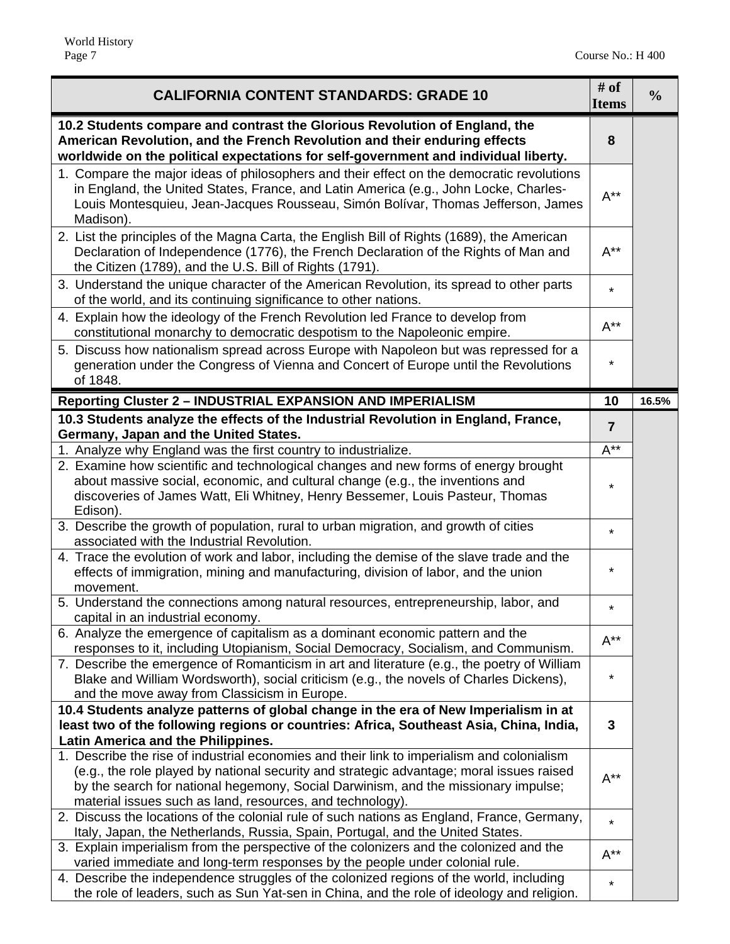| <b>CALIFORNIA CONTENT STANDARDS: GRADE 10</b>                                                                                                                                                                                                                                      | # $of$<br><b>Items</b> | $\frac{0}{0}$ |
|------------------------------------------------------------------------------------------------------------------------------------------------------------------------------------------------------------------------------------------------------------------------------------|------------------------|---------------|
| 10.2 Students compare and contrast the Glorious Revolution of England, the<br>American Revolution, and the French Revolution and their enduring effects<br>worldwide on the political expectations for self-government and individual liberty.                                     | 8                      |               |
| 1. Compare the major ideas of philosophers and their effect on the democratic revolutions<br>in England, the United States, France, and Latin America (e.g., John Locke, Charles-<br>Louis Montesquieu, Jean-Jacques Rousseau, Simón Bolívar, Thomas Jefferson, James<br>Madison). | $A^{\star\star}$       |               |
| 2. List the principles of the Magna Carta, the English Bill of Rights (1689), the American<br>Declaration of Independence (1776), the French Declaration of the Rights of Man and<br>the Citizen (1789), and the U.S. Bill of Rights (1791).                                       | $A^{**}$               |               |
| 3. Understand the unique character of the American Revolution, its spread to other parts<br>of the world, and its continuing significance to other nations.                                                                                                                        | $\star$                |               |
| 4. Explain how the ideology of the French Revolution led France to develop from<br>constitutional monarchy to democratic despotism to the Napoleonic empire.                                                                                                                       | $A^{\star\star}$       |               |
| 5. Discuss how nationalism spread across Europe with Napoleon but was repressed for a<br>generation under the Congress of Vienna and Concert of Europe until the Revolutions<br>of 1848.                                                                                           | $^\star$               |               |
| <b>Reporting Cluster 2 - INDUSTRIAL EXPANSION AND IMPERIALISM</b>                                                                                                                                                                                                                  | 10                     | 16.5%         |
| 10.3 Students analyze the effects of the Industrial Revolution in England, France,                                                                                                                                                                                                 | $\overline{7}$         |               |
| Germany, Japan and the United States.<br>1. Analyze why England was the first country to industrialize.                                                                                                                                                                            | $A^{**}$               |               |
| 2. Examine how scientific and technological changes and new forms of energy brought<br>about massive social, economic, and cultural change (e.g., the inventions and<br>discoveries of James Watt, Eli Whitney, Henry Bessemer, Louis Pasteur, Thomas                              | $\star$                |               |
| Edison).                                                                                                                                                                                                                                                                           |                        |               |
| 3. Describe the growth of population, rural to urban migration, and growth of cities<br>associated with the Industrial Revolution.                                                                                                                                                 | $^\star$               |               |
| 4. Trace the evolution of work and labor, including the demise of the slave trade and the<br>effects of immigration, mining and manufacturing, division of labor, and the union<br>movement.                                                                                       | *                      |               |
| 5. Understand the connections among natural resources, entrepreneurship, labor, and<br>capital in an industrial economy.                                                                                                                                                           | $\star$                |               |
| 6. Analyze the emergence of capitalism as a dominant economic pattern and the<br>responses to it, including Utopianism, Social Democracy, Socialism, and Communism.                                                                                                                | $A^{**}$               |               |
| 7. Describe the emergence of Romanticism in art and literature (e.g., the poetry of William<br>Blake and William Wordsworth), social criticism (e.g., the novels of Charles Dickens),<br>and the move away from Classicism in Europe.                                              | $^\star$               |               |
| 10.4 Students analyze patterns of global change in the era of New Imperialism in at                                                                                                                                                                                                |                        |               |
| least two of the following regions or countries: Africa, Southeast Asia, China, India,                                                                                                                                                                                             | 3                      |               |
| Latin America and the Philippines.<br>1. Describe the rise of industrial economies and their link to imperialism and colonialism                                                                                                                                                   |                        |               |
| (e.g., the role played by national security and strategic advantage; moral issues raised<br>by the search for national hegemony, Social Darwinism, and the missionary impulse;<br>material issues such as land, resources, and technology).                                        | $A^{**}$               |               |
| 2. Discuss the locations of the colonial rule of such nations as England, France, Germany,<br>Italy, Japan, the Netherlands, Russia, Spain, Portugal, and the United States.                                                                                                       | $\star$                |               |
| 3. Explain imperialism from the perspective of the colonizers and the colonized and the<br>varied immediate and long-term responses by the people under colonial rule.                                                                                                             | $A^{**}$               |               |
| 4. Describe the independence struggles of the colonized regions of the world, including<br>the role of leaders, such as Sun Yat-sen in China, and the role of ideology and religion.                                                                                               | $\star$                |               |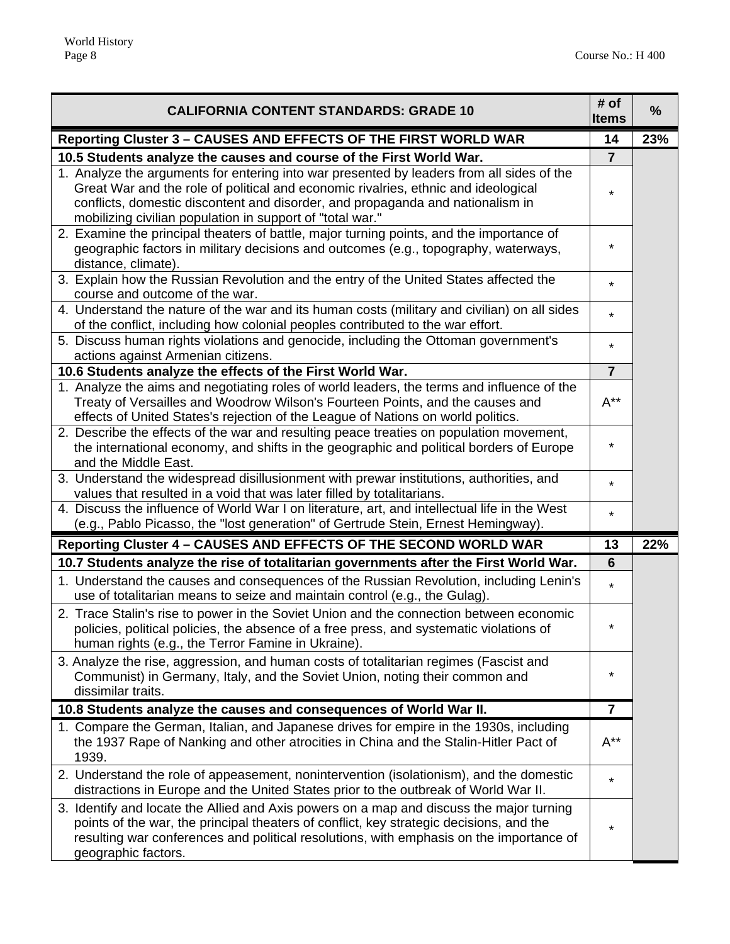| <b>CALIFORNIA CONTENT STANDARDS: GRADE 10</b>                                                                                                                                                                                                                                                                                  | # of<br><b>Items</b> | %   |
|--------------------------------------------------------------------------------------------------------------------------------------------------------------------------------------------------------------------------------------------------------------------------------------------------------------------------------|----------------------|-----|
| Reporting Cluster 3 - CAUSES AND EFFECTS OF THE FIRST WORLD WAR                                                                                                                                                                                                                                                                | 14                   | 23% |
| 10.5 Students analyze the causes and course of the First World War.                                                                                                                                                                                                                                                            | $\overline{7}$       |     |
| 1. Analyze the arguments for entering into war presented by leaders from all sides of the<br>Great War and the role of political and economic rivalries, ethnic and ideological<br>conflicts, domestic discontent and disorder, and propaganda and nationalism in<br>mobilizing civilian population in support of "total war." |                      |     |
| 2. Examine the principal theaters of battle, major turning points, and the importance of<br>geographic factors in military decisions and outcomes (e.g., topography, waterways,<br>distance, climate).                                                                                                                         | *                    |     |
| 3. Explain how the Russian Revolution and the entry of the United States affected the<br>course and outcome of the war.                                                                                                                                                                                                        | $\star$              |     |
| 4. Understand the nature of the war and its human costs (military and civilian) on all sides<br>of the conflict, including how colonial peoples contributed to the war effort.                                                                                                                                                 | $\star$              |     |
| 5. Discuss human rights violations and genocide, including the Ottoman government's<br>actions against Armenian citizens.                                                                                                                                                                                                      | $\star$              |     |
| 10.6 Students analyze the effects of the First World War.                                                                                                                                                                                                                                                                      | $\overline{7}$       |     |
| 1. Analyze the aims and negotiating roles of world leaders, the terms and influence of the<br>Treaty of Versailles and Woodrow Wilson's Fourteen Points, and the causes and<br>effects of United States's rejection of the League of Nations on world politics.                                                                | $A^{**}$             |     |
| 2. Describe the effects of the war and resulting peace treaties on population movement,<br>the international economy, and shifts in the geographic and political borders of Europe<br>and the Middle East.                                                                                                                     | $\star$              |     |
| 3. Understand the widespread disillusionment with prewar institutions, authorities, and<br>values that resulted in a void that was later filled by totalitarians.                                                                                                                                                              | $^\star$             |     |
| 4. Discuss the influence of World War I on literature, art, and intellectual life in the West<br>(e.g., Pablo Picasso, the "lost generation" of Gertrude Stein, Ernest Hemingway).                                                                                                                                             | $\star$              |     |
| Reporting Cluster 4 - CAUSES AND EFFECTS OF THE SECOND WORLD WAR                                                                                                                                                                                                                                                               | 13                   | 22% |
| 10.7 Students analyze the rise of totalitarian governments after the First World War.                                                                                                                                                                                                                                          | 6                    |     |
| 1. Understand the causes and consequences of the Russian Revolution, including Lenin's<br>use of totalitarian means to seize and maintain control (e.g., the Gulag).                                                                                                                                                           | $\star$              |     |
| 2. Trace Stalin's rise to power in the Soviet Union and the connection between economic<br>policies, political policies, the absence of a free press, and systematic violations of<br>human rights (e.g., the Terror Famine in Ukraine).                                                                                       |                      |     |
| 3. Analyze the rise, aggression, and human costs of totalitarian regimes (Fascist and<br>Communist) in Germany, Italy, and the Soviet Union, noting their common and<br>dissimilar traits.                                                                                                                                     | $^\star$             |     |
| 10.8 Students analyze the causes and consequences of World War II.                                                                                                                                                                                                                                                             | $\overline{7}$       |     |
| 1. Compare the German, Italian, and Japanese drives for empire in the 1930s, including<br>the 1937 Rape of Nanking and other atrocities in China and the Stalin-Hitler Pact of<br>1939.                                                                                                                                        | $A^{**}$             |     |
| 2. Understand the role of appeasement, nonintervention (isolationism), and the domestic<br>distractions in Europe and the United States prior to the outbreak of World War II.                                                                                                                                                 | $\star$              |     |
| 3. Identify and locate the Allied and Axis powers on a map and discuss the major turning<br>points of the war, the principal theaters of conflict, key strategic decisions, and the<br>resulting war conferences and political resolutions, with emphasis on the importance of<br>geographic factors.                          | $\star$              |     |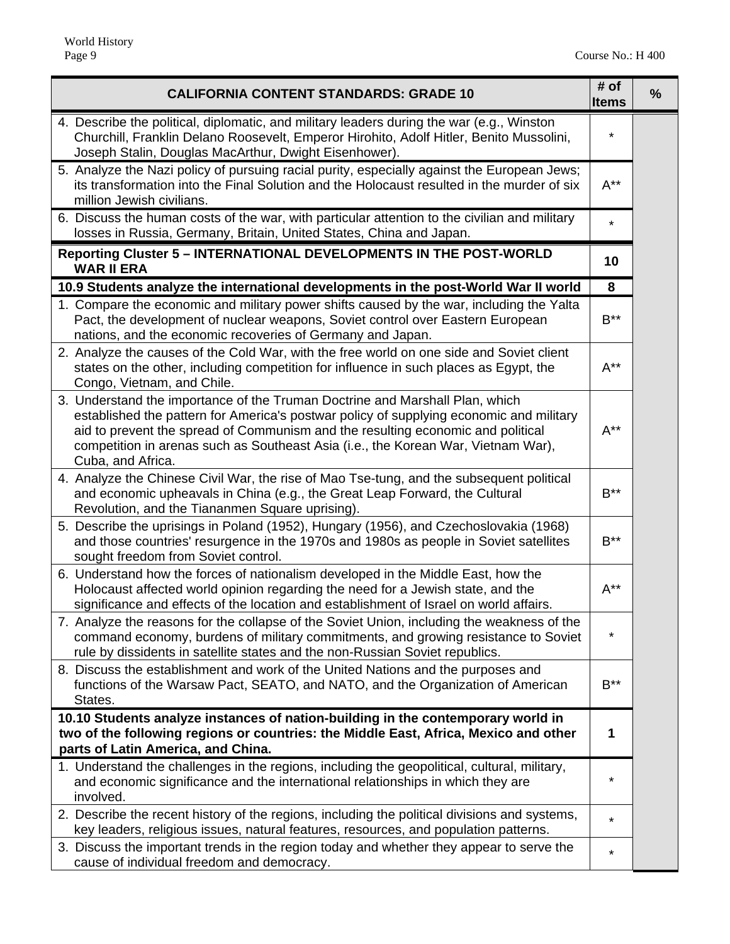| <b>CALIFORNIA CONTENT STANDARDS: GRADE 10</b>                                                                                                                                                                                                                                                                                                                        | # of<br>%<br><b>Items</b> |
|----------------------------------------------------------------------------------------------------------------------------------------------------------------------------------------------------------------------------------------------------------------------------------------------------------------------------------------------------------------------|---------------------------|
| 4. Describe the political, diplomatic, and military leaders during the war (e.g., Winston<br>Churchill, Franklin Delano Roosevelt, Emperor Hirohito, Adolf Hitler, Benito Mussolini,<br>Joseph Stalin, Douglas MacArthur, Dwight Eisenhower).                                                                                                                        | $\star$                   |
| 5. Analyze the Nazi policy of pursuing racial purity, especially against the European Jews;<br>its transformation into the Final Solution and the Holocaust resulted in the murder of six<br>million Jewish civilians.                                                                                                                                               | $A^{**}$                  |
| 6. Discuss the human costs of the war, with particular attention to the civilian and military<br>losses in Russia, Germany, Britain, United States, China and Japan.                                                                                                                                                                                                 | $\star$                   |
| Reporting Cluster 5 - INTERNATIONAL DEVELOPMENTS IN THE POST-WORLD<br><b>WAR II ERA</b>                                                                                                                                                                                                                                                                              | 10                        |
| 10.9 Students analyze the international developments in the post-World War II world                                                                                                                                                                                                                                                                                  | 8                         |
| 1. Compare the economic and military power shifts caused by the war, including the Yalta<br>Pact, the development of nuclear weapons, Soviet control over Eastern European<br>nations, and the economic recoveries of Germany and Japan.                                                                                                                             | $B^{\star\star}$          |
| 2. Analyze the causes of the Cold War, with the free world on one side and Soviet client<br>states on the other, including competition for influence in such places as Egypt, the<br>Congo, Vietnam, and Chile.                                                                                                                                                      | $A^{**}$                  |
| 3. Understand the importance of the Truman Doctrine and Marshall Plan, which<br>established the pattern for America's postwar policy of supplying economic and military<br>aid to prevent the spread of Communism and the resulting economic and political<br>competition in arenas such as Southeast Asia (i.e., the Korean War, Vietnam War),<br>Cuba, and Africa. | $A^{**}$                  |
| 4. Analyze the Chinese Civil War, the rise of Mao Tse-tung, and the subsequent political<br>and economic upheavals in China (e.g., the Great Leap Forward, the Cultural<br>Revolution, and the Tiananmen Square uprising).                                                                                                                                           | $B^{\ast\ast}$            |
| 5. Describe the uprisings in Poland (1952), Hungary (1956), and Czechoslovakia (1968)<br>and those countries' resurgence in the 1970s and 1980s as people in Soviet satellites<br>sought freedom from Soviet control.                                                                                                                                                | $B^{\star\star}$          |
| 6. Understand how the forces of nationalism developed in the Middle East, how the<br>Holocaust affected world opinion regarding the need for a Jewish state, and the<br>significance and effects of the location and establishment of Israel on world affairs.                                                                                                       | $A^{**}$                  |
| 7. Analyze the reasons for the collapse of the Soviet Union, including the weakness of the<br>command economy, burdens of military commitments, and growing resistance to Soviet<br>rule by dissidents in satellite states and the non-Russian Soviet republics.                                                                                                     | $^\star$                  |
| 8. Discuss the establishment and work of the United Nations and the purposes and<br>functions of the Warsaw Pact, SEATO, and NATO, and the Organization of American<br>States.                                                                                                                                                                                       | $B^{\star\star}$          |
| 10.10 Students analyze instances of nation-building in the contemporary world in                                                                                                                                                                                                                                                                                     |                           |
| two of the following regions or countries: the Middle East, Africa, Mexico and other                                                                                                                                                                                                                                                                                 | 1                         |
| parts of Latin America, and China.<br>1. Understand the challenges in the regions, including the geopolitical, cultural, military,                                                                                                                                                                                                                                   |                           |
| and economic significance and the international relationships in which they are<br>involved.                                                                                                                                                                                                                                                                         | $^\star$                  |
| 2. Describe the recent history of the regions, including the political divisions and systems,<br>key leaders, religious issues, natural features, resources, and population patterns.                                                                                                                                                                                | $\star$                   |
| 3. Discuss the important trends in the region today and whether they appear to serve the<br>cause of individual freedom and democracy.                                                                                                                                                                                                                               | $^\star$                  |